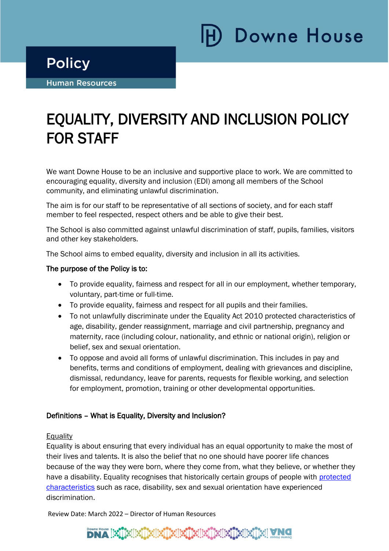# **Downe House**

### **Policy**

i

 $\overline{a}$ 

**Human Resources** 

## EQUALITY, DIVERSITY AND INCLUSION POLICY FOR STAFF

We want Downe House to be an inclusive and supportive place to work. We are committed to encouraging equality, diversity and inclusion (EDI) among all members of the School community, and eliminating unlawful discrimination.

The aim is for our staff to be representative of all sections of society, and for each staff member to feel respected, respect others and be able to give their best.

The School is also committed against unlawful discrimination of staff, pupils, families, visitors and other key stakeholders.

The School aims to embed equality, diversity and inclusion in all its activities.

#### The purpose of the Policy is to:

- To provide equality, fairness and respect for all in our employment, whether temporary, voluntary, part-time or full-time.
- To provide equality, fairness and respect for all pupils and their families.
- To not unlawfully discriminate under the Equality Act 2010 protected characteristics of age, disability, gender reassignment, marriage and civil partnership, pregnancy and maternity, race (including colour, nationality, and ethnic or national origin), religion or belief, sex and sexual orientation.
- To oppose and avoid all forms of unlawful discrimination. This includes in pay and benefits, terms and conditions of employment, dealing with grievances and discipline, dismissal, redundancy, leave for parents, requests for flexible working, and selection for employment, promotion, training or other developmental opportunities.

#### Definitions – What is Equality, Diversity and Inclusion?

#### Equality

Equality is about ensuring that every individual has an equal opportunity to make the most of their lives and talents. It is also the belief that no one should have poorer life chances because of the way they were born, where they come from, what they believe, or whether they have a disability. Equality recognises that historically certain groups of people with protected [characteristics](https://www.equalityhumanrights.com/en/equality-act/protected-characteristics) such as race, disability, sex and sexual orientation have experienced discrimination.

Review Date: March 2022 – Director of Human Resources

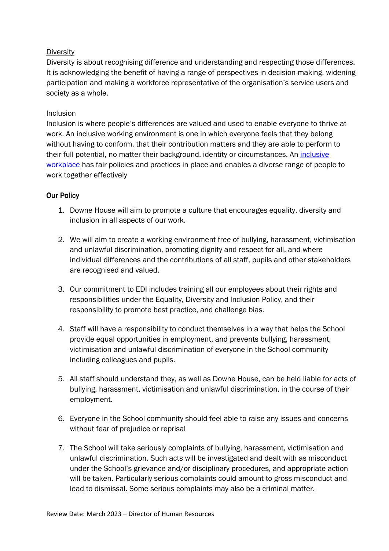#### **Diversity**

Diversity is about recognising difference and understanding and respecting those differences. It is acknowledging the benefit of having a range of perspectives in decision-making, widening participation and making a workforce representative of the organisation's service users and society as a whole.

#### **Inclusion**

Inclusion is where people's differences are valued and used to enable everyone to thrive at work. An inclusive working environment is one in which everyone feels that they belong without having to conform, that their contribution matters and they are able to perform to their full potential, no matter their background, identity or circumstances. An [inclusive](https://www.cipd.co.uk/knowledge/fundamentals/relations/diversity/building-inclusive-workplaces/)  [workplace](https://www.cipd.co.uk/knowledge/fundamentals/relations/diversity/building-inclusive-workplaces/) has fair policies and practices in place and enables a diverse range of people to work together effectively

#### Our Policy

- 1. Downe House will aim to promote a culture that encourages equality, diversity and inclusion in all aspects of our work.
- 2. We will aim to create a working environment free of bullying, harassment, victimisation and unlawful discrimination, promoting dignity and respect for all, and where individual differences and the contributions of all staff, pupils and other stakeholders are recognised and valued.
- 3. Our commitment to EDI includes training all our employees about their rights and responsibilities under the Equality, Diversity and Inclusion Policy, and their responsibility to promote best practice, and challenge bias.
- 4. Staff will have a responsibility to conduct themselves in a way that helps the School provide equal opportunities in employment, and prevents bullying, harassment, victimisation and unlawful discrimination of everyone in the School community including colleagues and pupils.
- 5. All staff should understand they, as well as Downe House, can be held liable for acts of bullying, harassment, victimisation and unlawful discrimination, in the course of their employment.
- 6. Everyone in the School community should feel able to raise any issues and concerns without fear of prejudice or reprisal
- 7. The School will take seriously complaints of bullying, harassment, victimisation and unlawful discrimination. Such acts will be investigated and dealt with as misconduct under the School's grievance and/or disciplinary procedures, and appropriate action will be taken. Particularly serious complaints could amount to gross misconduct and lead to dismissal. Some serious complaints may also be a criminal matter.